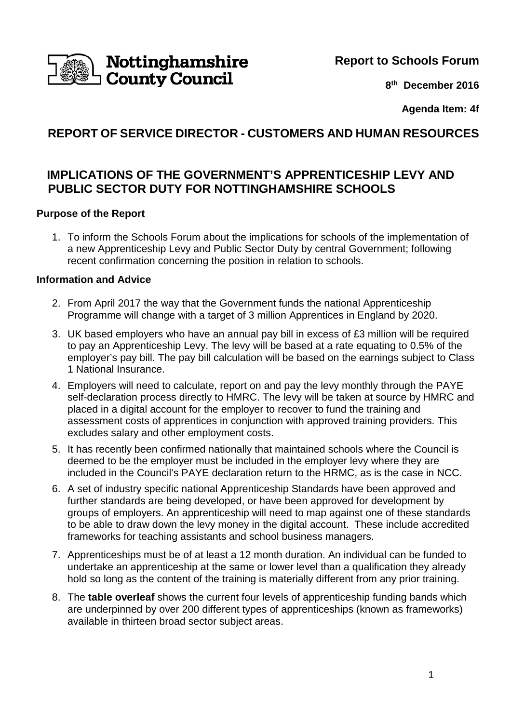

# **Nottinghamshire<br>County Council**

**8 th December 2016**

**Agenda Item: 4f**

# **REPORT OF SERVICE DIRECTOR - CUSTOMERS AND HUMAN RESOURCES**

## **IMPLICATIONS OF THE GOVERNMENT'S APPRENTICESHIP LEVY AND PUBLIC SECTOR DUTY FOR NOTTINGHAMSHIRE SCHOOLS**

#### **Purpose of the Report**

1. To inform the Schools Forum about the implications for schools of the implementation of a new Apprenticeship Levy and Public Sector Duty by central Government; following recent confirmation concerning the position in relation to schools.

#### **Information and Advice**

- 2. From April 2017 the way that the Government funds the national Apprenticeship Programme will change with a target of 3 million Apprentices in England by 2020.
- 3. UK based employers who have an annual pay bill in excess of £3 million will be required to pay an Apprenticeship Levy. The levy will be based at a rate equating to 0.5% of the employer's pay bill. The pay bill calculation will be based on the earnings subject to Class 1 National Insurance.
- 4. Employers will need to calculate, report on and pay the levy monthly through the PAYE self-declaration process directly to HMRC. The levy will be taken at source by HMRC and placed in a digital account for the employer to recover to fund the training and assessment costs of apprentices in conjunction with approved training providers. This excludes salary and other employment costs.
- 5. It has recently been confirmed nationally that maintained schools where the Council is deemed to be the employer must be included in the employer levy where they are included in the Council's PAYE declaration return to the HRMC, as is the case in NCC.
- 6. A set of industry specific national Apprenticeship Standards have been approved and further standards are being developed, or have been approved for development by groups of employers. An apprenticeship will need to map against one of these standards to be able to draw down the levy money in the digital account. These include accredited frameworks for teaching assistants and school business managers.
- 7. Apprenticeships must be of at least a 12 month duration. An individual can be funded to undertake an apprenticeship at the same or lower level than a qualification they already hold so long as the content of the training is materially different from any prior training.
- 8. The **table overleaf** shows the current four levels of apprenticeship funding bands which are underpinned by over 200 different types of apprenticeships (known as frameworks) available in thirteen broad sector subject areas.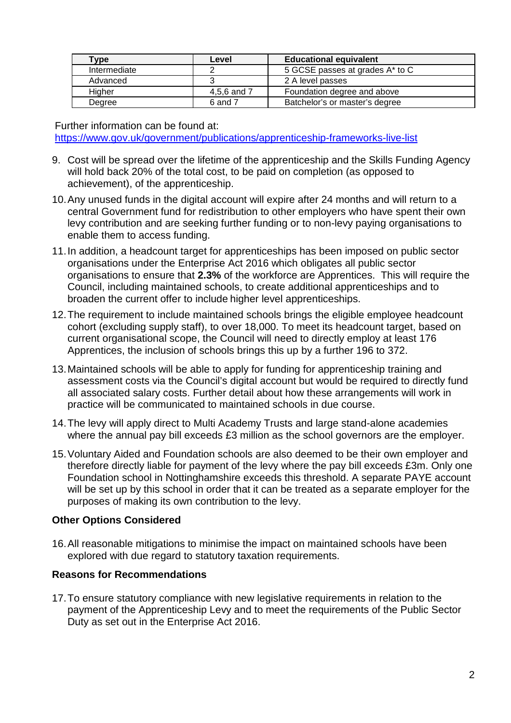| Type         | Level       | <b>Educational equivalent</b>   |
|--------------|-------------|---------------------------------|
| Intermediate |             | 5 GCSE passes at grades A* to C |
| Advanced     |             | 2 A level passes                |
| Higher       | 4,5,6 and 7 | Foundation degree and above     |
| Degree       | 6 and 7     | Batchelor's or master's degree  |

Further information can be found at: https://www.gov.uk/government/publications/apprenticeship-frameworks-live-list

- 9. Cost will be spread over the lifetime of the apprenticeship and the Skills Funding Agency will hold back 20% of the total cost, to be paid on completion (as opposed to achievement), of the apprenticeship.
- 10. Any unused funds in the digital account will expire after 24 months and will return to a central Government fund for redistribution to other employers who have spent their own levy contribution and are seeking further funding or to non-levy paying organisations to enable them to access funding.
- 11. In addition, a headcount target for apprenticeships has been imposed on public sector organisations under the Enterprise Act 2016 which obligates all public sector organisations to ensure that **2.3%** of the workforce are Apprentices. This will require the Council, including maintained schools, to create additional apprenticeships and to broaden the current offer to include higher level apprenticeships.
- 12. The requirement to include maintained schools brings the eligible employee headcount cohort (excluding supply staff), to over 18,000. To meet its headcount target, based on current organisational scope, the Council will need to directly employ at least 176 Apprentices, the inclusion of schools brings this up by a further 196 to 372.
- 13. Maintained schools will be able to apply for funding for apprenticeship training and assessment costs via the Council's digital account but would be required to directly fund all associated salary costs. Further detail about how these arrangements will work in practice will be communicated to maintained schools in due course.
- 14. The levy will apply direct to Multi Academy Trusts and large stand-alone academies where the annual pay bill exceeds £3 million as the school governors are the employer.
- 15. Voluntary Aided and Foundation schools are also deemed to be their own employer and therefore directly liable for payment of the levy where the pay bill exceeds £3m. Only one Foundation school in Nottinghamshire exceeds this threshold. A separate PAYE account will be set up by this school in order that it can be treated as a separate employer for the purposes of making its own contribution to the levy.

#### **Other Options Considered**

16. All reasonable mitigations to minimise the impact on maintained schools have been explored with due regard to statutory taxation requirements.

#### **Reasons for Recommendations**

17. To ensure statutory compliance with new legislative requirements in relation to the payment of the Apprenticeship Levy and to meet the requirements of the Public Sector Duty as set out in the Enterprise Act 2016.